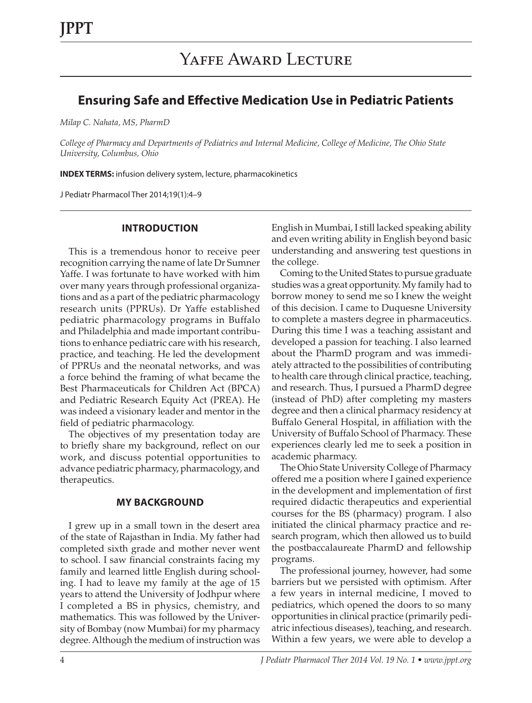# **Ensuring Safe and Effective Medication Use in Pediatric Patients**

*Milap C. Nahata, MS, PharmD*

*College of Pharmacy and Departments of Pediatrics and Internal Medicine, College of Medicine, The Ohio State University, Columbus, Ohio*

**INDEX TERMS:** infusion delivery system, lecture, pharmacokinetics

J Pediatr Pharmacol Ther 2014;19(1):4–9

#### **INTRODUCTION**

This is a tremendous honor to receive peer recognition carrying the name of late Dr Sumner Yaffe. I was fortunate to have worked with him over many years through professional organizations and as a part of the pediatric pharmacology research units (PPRUs). Dr Yaffe established pediatric pharmacology programs in Buffalo and Philadelphia and made important contributions to enhance pediatric care with his research, practice, and teaching. He led the development of PPRUs and the neonatal networks, and was a force behind the framing of what became the Best Pharmaceuticals for Children Act (BPCA) and Pediatric Research Equity Act (PREA). He was indeed a visionary leader and mentor in the field of pediatric pharmacology.

The objectives of my presentation today are to briefly share my background, reflect on our work, and discuss potential opportunities to advance pediatric pharmacy, pharmacology, and therapeutics.

#### **MY BACKGROUND**

I grew up in a small town in the desert area of the state of Rajasthan in India. My father had completed sixth grade and mother never went to school. I saw financial constraints facing my family and learned little English during schooling. I had to leave my family at the age of 15 years to attend the University of Jodhpur where I completed a BS in physics, chemistry, and mathematics. This was followed by the University of Bombay (now Mumbai) for my pharmacy degree. Although the medium of instruction was English in Mumbai, I still lacked speaking ability and even writing ability in English beyond basic understanding and answering test questions in the college.

Coming to the United States to pursue graduate studies was a great opportunity. My family had to borrow money to send me so I knew the weight of this decision. I came to Duquesne University to complete a masters degree in pharmaceutics. During this time I was a teaching assistant and developed a passion for teaching. I also learned about the PharmD program and was immediately attracted to the possibilities of contributing to health care through clinical practice, teaching, and research. Thus, I pursued a PharmD degree (instead of PhD) after completing my masters degree and then a clinical pharmacy residency at Buffalo General Hospital, in affiliation with the University of Buffalo School of Pharmacy. These experiences clearly led me to seek a position in academic pharmacy.

The Ohio State University College of Pharmacy offered me a position where I gained experience in the development and implementation of first required didactic therapeutics and experiential courses for the BS (pharmacy) program. I also initiated the clinical pharmacy practice and research program, which then allowed us to build the postbaccalaureate PharmD and fellowship programs.

The professional journey, however, had some barriers but we persisted with optimism. After a few years in internal medicine, I moved to pediatrics, which opened the doors to so many opportunities in clinical practice (primarily pediatric infectious diseases), teaching, and research. Within a few years, we were able to develop a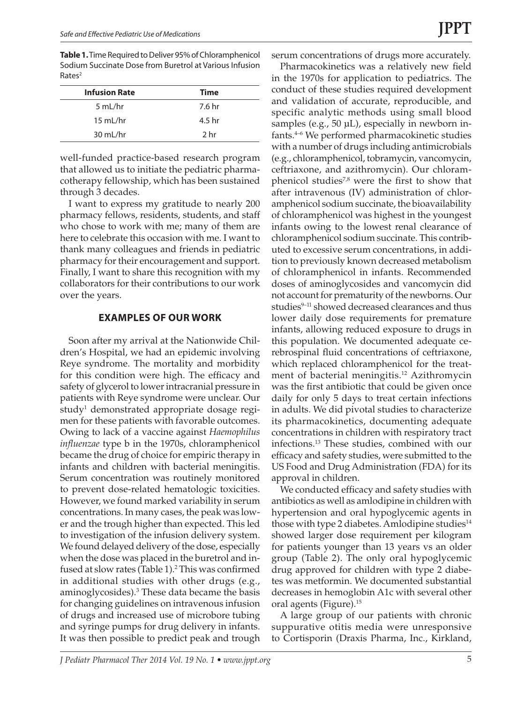**Table 1.** Time Required to Deliver 95% of Chloramphenicol Sodium Succinate Dose from Buretrol at Various Infusion  $Rates<sup>2</sup>$ 

| <b>Infusion Rate</b> | <b>Time</b> |
|----------------------|-------------|
| 5 mL/hr              | 7.6 hr      |
| 15 mL/hr             | 4.5 hr      |
| 30 mL/hr             | 2 hr        |

well-funded practice-based research program that allowed us to initiate the pediatric pharmacotherapy fellowship, which has been sustained through 3 decades.

I want to express my gratitude to nearly 200 pharmacy fellows, residents, students, and staff who chose to work with me; many of them are here to celebrate this occasion with me. I want to thank many colleagues and friends in pediatric pharmacy for their encouragement and support. Finally, I want to share this recognition with my collaborators for their contributions to our work over the years.

#### **EXAMPLES OF OUR WORK**

Soon after my arrival at the Nationwide Children's Hospital, we had an epidemic involving Reye syndrome. The mortality and morbidity for this condition were high. The efficacy and safety of glycerol to lower intracranial pressure in patients with Reye syndrome were unclear. Our study<sup>1</sup> demonstrated appropriate dosage regimen for these patients with favorable outcomes. Owing to lack of a vaccine against *Haemophilus influenzae* type b in the 1970s, chloramphenicol became the drug of choice for empiric therapy in infants and children with bacterial meningitis. Serum concentration was routinely monitored to prevent dose-related hematologic toxicities. However, we found marked variability in serum concentrations. In many cases, the peak was lower and the trough higher than expected. This led to investigation of the infusion delivery system. We found delayed delivery of the dose, especially when the dose was placed in the buretrol and infused at slow rates (Table 1).<sup>2</sup> This was confirmed in additional studies with other drugs (e.g., aminoglycosides).3 These data became the basis for changing guidelines on intravenous infusion of drugs and increased use of microbore tubing and syringe pumps for drug delivery in infants. It was then possible to predict peak and trough

serum concentrations of drugs more accurately.

Pharmacokinetics was a relatively new field in the 1970s for application to pediatrics. The conduct of these studies required development and validation of accurate, reproducible, and specific analytic methods using small blood samples (e.g., 50 µL), especially in newborn infants.4–6 We performed pharmacokinetic studies with a number of drugs including antimicrobials (e.g., chloramphenicol, tobramycin, vancomycin, ceftriaxone, and azithromycin). Our chloramphenicol studies $78$  were the first to show that after intravenous (IV) administration of chloramphenicol sodium succinate, the bioavailability of chloramphenicol was highest in the youngest infants owing to the lowest renal clearance of chloramphenicol sodium succinate. This contributed to excessive serum concentrations, in addition to previously known decreased metabolism of chloramphenicol in infants. Recommended doses of aminoglycosides and vancomycin did not account for prematurity of the newborns. Our studies<sup>9-11</sup> showed decreased clearances and thus lower daily dose requirements for premature infants, allowing reduced exposure to drugs in this population. We documented adequate cerebrospinal fluid concentrations of ceftriaxone, which replaced chloramphenicol for the treatment of bacterial meningitis.<sup>12</sup> Azithromycin was the first antibiotic that could be given once daily for only 5 days to treat certain infections in adults. We did pivotal studies to characterize its pharmacokinetics, documenting adequate concentrations in children with respiratory tract infections.13 These studies, combined with our efficacy and safety studies, were submitted to the US Food and Drug Administration (FDA) for its approval in children.

We conducted efficacy and safety studies with antibiotics as well as amlodipine in children with hypertension and oral hypoglycemic agents in those with type 2 diabetes. Amlodipine studies $14$ showed larger dose requirement per kilogram for patients younger than 13 years vs an older group (Table 2). The only oral hypoglycemic drug approved for children with type 2 diabetes was metformin. We documented substantial decreases in hemoglobin A1c with several other oral agents (Figure).15

A large group of our patients with chronic suppurative otitis media were unresponsive to Cortisporin (Draxis Pharma, Inc., Kirkland,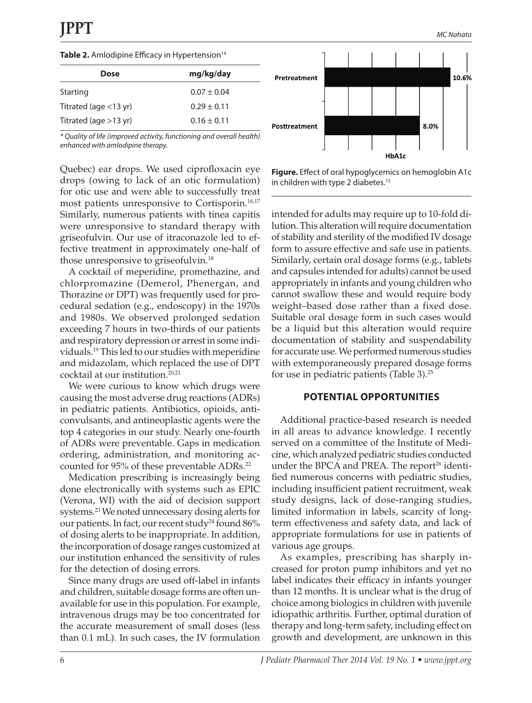#### Table 2. Amlodipine Efficacy in Hypertension<sup>14</sup>

| Dose                     | mg/kg/day       |
|--------------------------|-----------------|
| Starting                 | $0.07 \pm 0.04$ |
| Titrated (age $<$ 13 yr) | $0.29 + 0.11$   |
| Titrated (age $>13$ yr)  | $0.16 + 0.11$   |

*\* Quality of life (improved activity, functioning and overall health) enhanced with amlodipine therapy.*

Quebec) ear drops. We used ciprofloxacin eye drops (owing to lack of an otic formulation) for otic use and were able to successfully treat most patients unresponsive to Cortisporin.<sup>16,17</sup> Similarly, numerous patients with tinea capitis were unresponsive to standard therapy with griseofulvin. Our use of itraconazole led to effective treatment in approximately one-half of those unresponsive to griseofulvin.18

A cocktail of meperidine, promethazine, and chlorpromazine (Demerol, Phenergan, and Thorazine or DPT) was frequently used for procedural sedation (e.g., endoscopy) in the 1970s and 1980s. We observed prolonged sedation exceeding 7 hours in two-thirds of our patients and respiratory depression or arrest in some individuals.19 This led to our studies with meperidine and midazolam, which replaced the use of DPT cocktail at our institution.<sup>20,21</sup>

We were curious to know which drugs were causing the most adverse drug reactions (ADRs) in pediatric patients. Antibiotics, opioids, anticonvulsants, and antineoplastic agents were the top 4 categories in our study. Nearly one-fourth of ADRs were preventable. Gaps in medication ordering, administration, and monitoring accounted for 95% of these preventable ADRs.<sup>22</sup>

Medication prescribing is increasingly being done electronically with systems such as EPIC (Verona, WI) with the aid of decision support systems.<sup>23</sup> We noted unnecessary dosing alerts for our patients. In fact, our recent study<sup>24</sup> found 86% of dosing alerts to be inappropriate. In addition, the incorporation of dosage ranges customized at our institution enhanced the sensitivity of rules for the detection of dosing errors.

Since many drugs are used off-label in infants and children, suitable dosage forms are often unavailable for use in this population. For example, intravenous drugs may be too concentrated for the accurate measurement of small doses (less than 0.1 mL). In such cases, the IV formulation



**Figure.** Effect of oral hypoglycemics on hemoglobin A1c in children with type 2 diabetes.<sup>15</sup>

intended for adults may require up to 10-fold dilution. This alteration will require documentation of stability and sterility of the modified IV dosage form to assure effective and safe use in patients. Similarly, certain oral dosage forms (e.g., tablets and capsules intended for adults) cannot be used appropriately in infants and young children who cannot swallow these and would require body weight–based dose rather than a fixed dose. Suitable oral dosage form in such cases would be a liquid but this alteration would require documentation of stability and suspendability for accurate use. We performed numerous studies with extemporaneously prepared dosage forms for use in pediatric patients (Table 3).25

### **POTENTIAL OPPORTUNITIES**

Additional practice-based research is needed in all areas to advance knowledge. I recently served on a committee of the Institute of Medicine, which analyzed pediatric studies conducted under the BPCA and PREA. The report<sup>26</sup> identified numerous concerns with pediatric studies, including insufficient patient recruitment, weak study designs, lack of dose-ranging studies, limited information in labels, scarcity of longterm effectiveness and safety data, and lack of appropriate formulations for use in patients of various age groups.

As examples, prescribing has sharply increased for proton pump inhibitors and yet no label indicates their efficacy in infants younger than 12 months. It is unclear what is the drug of choice among biologics in children with juvenile idiopathic arthritis. Further, optimal duration of therapy and long-term safety, including effect on growth and development, are unknown in this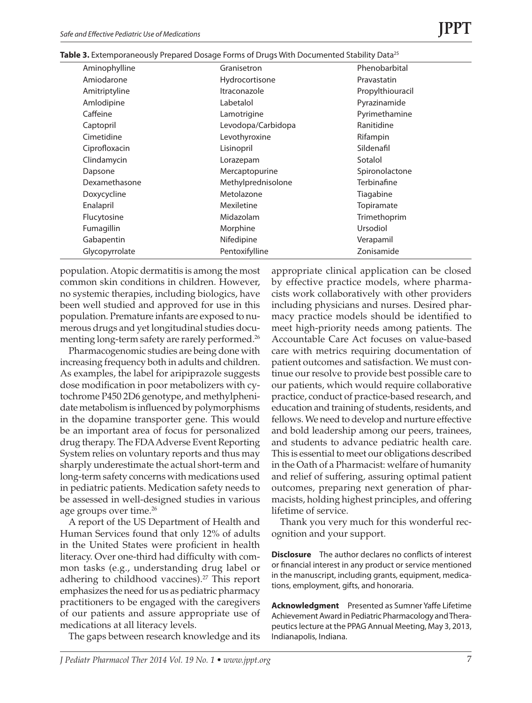| Aminophylline  | Granisetron        | Phenobarbital    |
|----------------|--------------------|------------------|
| Amiodarone     | Hydrocortisone     | Pravastatin      |
| Amitriptyline  | Itraconazole       | Propylthiouracil |
| Amlodipine     | Labetalol          | Pyrazinamide     |
| Caffeine       | Lamotrigine        | Pyrimethamine    |
| Captopril      | Levodopa/Carbidopa | Ranitidine       |
| Cimetidine     | Levothyroxine      | Rifampin         |
| Ciprofloxacin  | Lisinopril         | Sildenafil       |
| Clindamycin    | Lorazepam          | Sotalol          |
| Dapsone        | Mercaptopurine     | Spironolactone   |
| Dexamethasone  | Methylprednisolone | Terbinafine      |
| Doxycycline    | Metolazone         | Tiagabine        |
| Enalapril      | Mexiletine         | Topiramate       |
| Flucytosine    | Midazolam          | Trimethoprim     |
| Fumagillin     | Morphine           | Ursodiol         |
| Gabapentin     | Nifedipine         | Verapamil        |
| Glycopyrrolate | Pentoxifylline     | Zonisamide       |
|                |                    |                  |

**Table 3.** Extemporaneously Prepared Dosage Forms of Drugs With Documented Stability Data<sup>25</sup>

population. Atopic dermatitis is among the most common skin conditions in children. However, no systemic therapies, including biologics, have been well studied and approved for use in this population. Premature infants are exposed to numerous drugs and yet longitudinal studies documenting long-term safety are rarely performed.<sup>26</sup>

Pharmacogenomic studies are being done with increasing frequency both in adults and children. As examples, the label for aripiprazole suggests dose modification in poor metabolizers with cytochrome P450 2D6 genotype, and methylphenidate metabolism is influenced by polymorphisms in the dopamine transporter gene. This would be an important area of focus for personalized drug therapy. The FDA Adverse Event Reporting System relies on voluntary reports and thus may sharply underestimate the actual short-term and long-term safety concerns with medications used in pediatric patients. Medication safety needs to be assessed in well-designed studies in various age groups over time.<sup>26</sup>

A report of the US Department of Health and Human Services found that only 12% of adults in the United States were proficient in health literacy. Over one-third had difficulty with common tasks (e.g., understanding drug label or adhering to childhood vaccines).<sup>27</sup> This report emphasizes the need for us as pediatric pharmacy practitioners to be engaged with the caregivers of our patients and assure appropriate use of medications at all literacy levels.

The gaps between research knowledge and its

appropriate clinical application can be closed by effective practice models, where pharmacists work collaboratively with other providers including physicians and nurses. Desired pharmacy practice models should be identified to meet high-priority needs among patients. The Accountable Care Act focuses on value-based care with metrics requiring documentation of patient outcomes and satisfaction. We must continue our resolve to provide best possible care to our patients, which would require collaborative practice, conduct of practice-based research, and education and training of students, residents, and fellows. We need to develop and nurture effective and bold leadership among our peers, trainees, and students to advance pediatric health care. This is essential to meet our obligations described in the Oath of a Pharmacist: welfare of humanity and relief of suffering, assuring optimal patient outcomes, preparing next generation of pharmacists, holding highest principles, and offering lifetime of service.

Thank you very much for this wonderful recognition and your support.

**Disclosure** The author declares no conflicts of interest or financial interest in any product or service mentioned in the manuscript, including grants, equipment, medications, employment, gifts, and honoraria.

**Acknowledgment** Presented as Sumner Yaffe Lifetime Achievement Award in Pediatric Pharmacology and Therapeutics lecture at the PPAG Annual Meeting, May 3, 2013, Indianapolis, Indiana.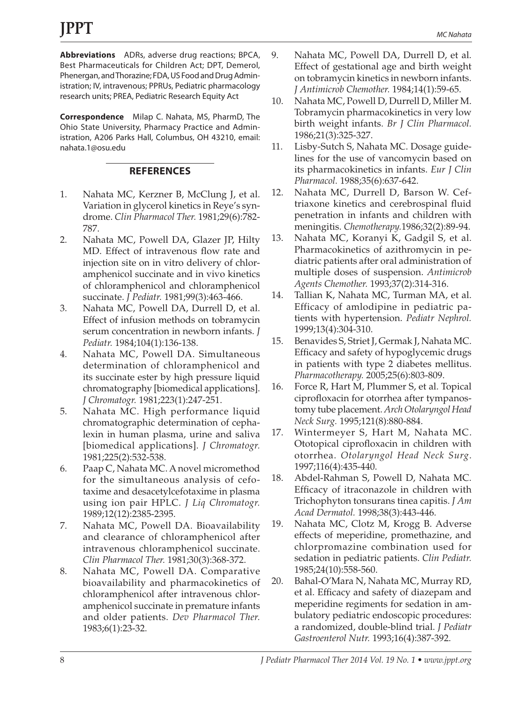**Abbreviations** ADRs, adverse drug reactions; BPCA, Best Pharmaceuticals for Children Act; DPT, Demerol, Phenergan, and Thorazine; FDA, US Food and Drug Administration; IV, intravenous; PPRUs, Pediatric pharmacology research units; PREA, Pediatric Research Equity Act

**Correspondence** Milap C. Nahata, MS, PharmD, The Ohio State University, Pharmacy Practice and Administration, A206 Parks Hall, Columbus, OH 43210, email: nahata.1@osu.edu

## **REFERENCES**

- 1. Nahata MC, Kerzner B, McClung J, et al. Variation in glycerol kinetics in Reye's syndrome. *Clin Pharmacol Ther.* 1981;29(6):782- 787.
- 2. Nahata MC, Powell DA, Glazer JP, Hilty MD. Effect of intravenous flow rate and injection site on in vitro delivery of chloramphenicol succinate and in vivo kinetics of chloramphenicol and chloramphenicol succinate. *J Pediatr.* 1981;99(3):463-466.
- 3. Nahata MC, Powell DA, Durrell D, et al. Effect of infusion methods on tobramycin serum concentration in newborn infants. *J Pediatr.* 1984;104(1):136-138.
- 4. Nahata MC, Powell DA. Simultaneous determination of chloramphenicol and its succinate ester by high pressure liquid chromatography [biomedical applications]. *J Chromatogr.* 1981;223(1):247-251.
- 5. Nahata MC. High performance liquid chromatographic determination of cephalexin in human plasma, urine and saliva [biomedical applications]. *J Chromatogr.* 1981;225(2):532-538.
- 6. Paap C, Nahata MC. A novel micromethod for the simultaneous analysis of cefotaxime and desacetylcefotaxime in plasma using ion pair HPLC. *J Liq Chromatogr.* 1989;12(12):2385-2395.
- 7. Nahata MC, Powell DA. Bioavailability and clearance of chloramphenicol after intravenous chloramphenicol succinate. *Clin Pharmacol Ther.* 1981;30(3):368-372.
- 8. Nahata MC, Powell DA. Comparative bioavailability and pharmacokinetics of chloramphenicol after intravenous chloramphenicol succinate in premature infants and older patients. *Dev Pharmacol Ther.*  1983;6(1):23-32.
- 9. Nahata MC, Powell DA, Durrell D, et al. Effect of gestational age and birth weight on tobramycin kinetics in newborn infants. *J Antimicrob Chemother.* 1984;14(1):59-65.
- 10. Nahata MC, Powell D, Durrell D, Miller M. Tobramycin pharmacokinetics in very low birth weight infants. *Br J Clin Pharmacol.* 1986;21(3):325-327.
- 11. Lisby-Sutch S, Nahata MC. Dosage guidelines for the use of vancomycin based on its pharmacokinetics in infants. *Eur J Clin Pharmacol.* 1988;35(6):637-642.
- 12. Nahata MC, Durrell D, Barson W. Ceftriaxone kinetics and cerebrospinal fluid penetration in infants and children with meningitis. *Chemotherapy.*1986;32(2):89-94.
- 13. Nahata MC, Koranyi K, Gadgil S, et al. Pharmacokinetics of azithromycin in pediatric patients after oral administration of multiple doses of suspension. *Antimicrob Agents Chemother.* 1993;37(2):314-316.
- 14. Tallian K, Nahata MC, Turman MA, et al. Efficacy of amlodipine in pediatric patients with hypertension. *Pediatr Nephrol.* 1999;13(4):304-310.
- 15. Benavides S, Striet J, Germak J, Nahata MC. Efficacy and safety of hypoglycemic drugs in patients with type 2 diabetes mellitus. *Pharmacotherapy.* 2005;25(6):803-809.
- 16. Force R, Hart M, Plummer S, et al. Topical ciprofloxacin for otorrhea after tympanostomy tube placement. *Arch Otolaryngol Head Neck Surg.* 1995;121(8):880-884.
- 17. Wintermeyer S, Hart M, Nahata MC. Ototopical ciprofloxacin in children with otorrhea. *Otolaryngol Head Neck Surg*. 1997;116(4):435-440.
- 18. Abdel-Rahman S, Powell D, Nahata MC. Efficacy of itraconazole in children with Trichophyton tonsurans tinea capitis. *J Am Acad Dermatol.* 1998;38(3):443-446.
- 19. Nahata MC, Clotz M, Krogg B. Adverse effects of meperidine, promethazine, and chlorpromazine combination used for sedation in pediatric patients. *Clin Pediatr.* 1985;24(10):558-560.
- 20. Bahal-O'Mara N, Nahata MC, Murray RD, et al. Efficacy and safety of diazepam and meperidine regiments for sedation in ambulatory pediatric endoscopic procedures: a randomized, double-blind trial. *J Pediatr Gastroenterol Nutr.* 1993;16(4):387-392.